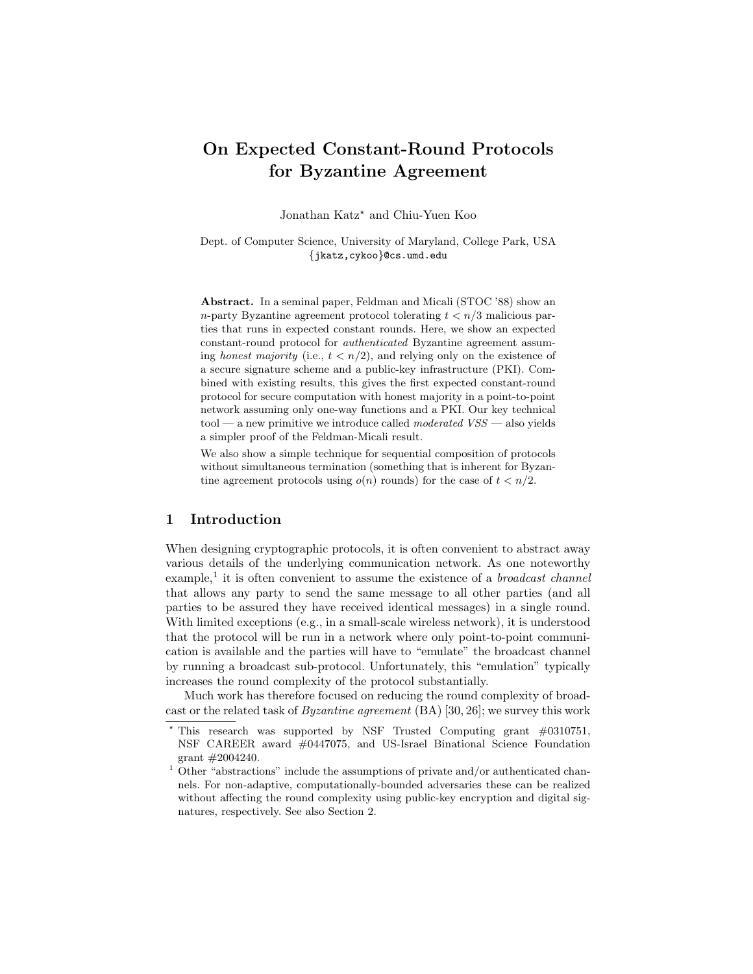# On Expected Constant-Round Protocols for Byzantine Agreement

Jonathan Katz? and Chiu-Yuen Koo

Dept. of Computer Science, University of Maryland, College Park, USA {jkatz,cykoo}@cs.umd.edu

Abstract. In a seminal paper, Feldman and Micali (STOC '88) show an n-party Byzantine agreement protocol tolerating  $t < n/3$  malicious parties that runs in expected constant rounds. Here, we show an expected constant-round protocol for authenticated Byzantine agreement assuming honest majority (i.e.,  $t < n/2$ ), and relying only on the existence of a secure signature scheme and a public-key infrastructure (PKI). Combined with existing results, this gives the first expected constant-round protocol for secure computation with honest majority in a point-to-point network assuming only one-way functions and a PKI. Our key technical  $\text{tool}$  — a new primitive we introduce called *moderated VSS* — also yields a simpler proof of the Feldman-Micali result.

We also show a simple technique for sequential composition of protocols without simultaneous termination (something that is inherent for Byzantine agreement protocols using  $o(n)$  rounds) for the case of  $t < n/2$ .

# 1 Introduction

When designing cryptographic protocols, it is often convenient to abstract away various details of the underlying communication network. As one noteworthy example,<sup>1</sup> it is often convenient to assume the existence of a *broadcast channel* that allows any party to send the same message to all other parties (and all parties to be assured they have received identical messages) in a single round. With limited exceptions (e.g., in a small-scale wireless network), it is understood that the protocol will be run in a network where only point-to-point communication is available and the parties will have to "emulate" the broadcast channel by running a broadcast sub-protocol. Unfortunately, this "emulation" typically increases the round complexity of the protocol substantially.

Much work has therefore focused on reducing the round complexity of broadcast or the related task of Byzantine agreement (BA) [30, 26]; we survey this work

 $*$  This research was supported by NSF Trusted Computing grant  $\#0310751$ , NSF CAREER award #0447075, and US-Israel Binational Science Foundation grant #2004240.

<sup>&</sup>lt;sup>1</sup> Other "abstractions" include the assumptions of private and/or authenticated channels. For non-adaptive, computationally-bounded adversaries these can be realized without affecting the round complexity using public-key encryption and digital signatures, respectively. See also Section 2.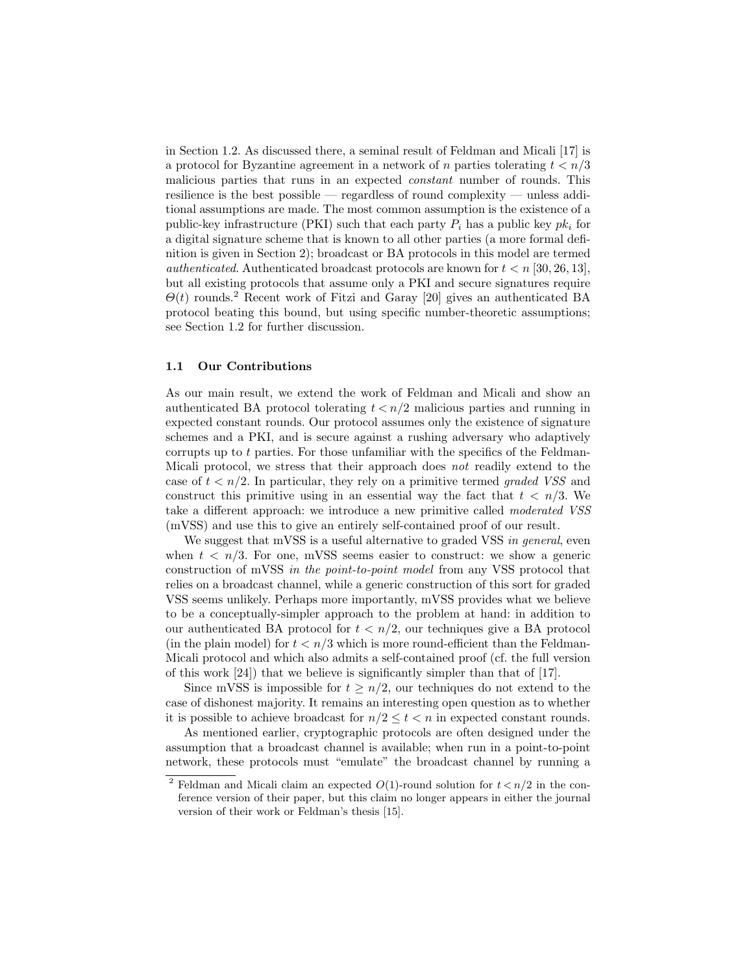in Section 1.2. As discussed there, a seminal result of Feldman and Micali [17] is a protocol for Byzantine agreement in a network of n parties tolerating  $t < n/3$ malicious parties that runs in an expected constant number of rounds. This resilience is the best possible — regardless of round complexity — unless additional assumptions are made. The most common assumption is the existence of a public-key infrastructure (PKI) such that each party  $P_i$  has a public key  $pk_i$  for a digital signature scheme that is known to all other parties (a more formal definition is given in Section 2); broadcast or BA protocols in this model are termed *authenticated.* Authenticated broadcast protocols are known for  $t < n$  [30, 26, 13], but all existing protocols that assume only a PKI and secure signatures require  $\Theta(t)$  rounds.<sup>2</sup> Recent work of Fitzi and Garay [20] gives an authenticated BA protocol beating this bound, but using specific number-theoretic assumptions; see Section 1.2 for further discussion.

### 1.1 Our Contributions

As our main result, we extend the work of Feldman and Micali and show an authenticated BA protocol tolerating  $t < n/2$  malicious parties and running in expected constant rounds. Our protocol assumes only the existence of signature schemes and a PKI, and is secure against a rushing adversary who adaptively corrupts up to  $t$  parties. For those unfamiliar with the specifics of the Feldman-Micali protocol, we stress that their approach does not readily extend to the case of  $t < n/2$ . In particular, they rely on a primitive termed graded VSS and construct this primitive using in an essential way the fact that  $t < n/3$ . We take a different approach: we introduce a new primitive called moderated VSS (mVSS) and use this to give an entirely self-contained proof of our result.

We suggest that mVSS is a useful alternative to graded VSS in general, even when  $t < n/3$ . For one, mVSS seems easier to construct: we show a generic construction of mVSS in the point-to-point model from any VSS protocol that relies on a broadcast channel, while a generic construction of this sort for graded VSS seems unlikely. Perhaps more importantly, mVSS provides what we believe to be a conceptually-simpler approach to the problem at hand: in addition to our authenticated BA protocol for  $t < n/2$ , our techniques give a BA protocol (in the plain model) for  $t < n/3$  which is more round-efficient than the Feldman-Micali protocol and which also admits a self-contained proof (cf. the full version of this work [24]) that we believe is significantly simpler than that of [17].

Since mVSS is impossible for  $t \geq n/2$ , our techniques do not extend to the case of dishonest majority. It remains an interesting open question as to whether it is possible to achieve broadcast for  $n/2 \le t < n$  in expected constant rounds.

As mentioned earlier, cryptographic protocols are often designed under the assumption that a broadcast channel is available; when run in a point-to-point network, these protocols must "emulate" the broadcast channel by running a

<sup>&</sup>lt;sup>2</sup> Feldman and Micali claim an expected  $O(1)$ -round solution for  $t < n/2$  in the conference version of their paper, but this claim no longer appears in either the journal version of their work or Feldman's thesis [15].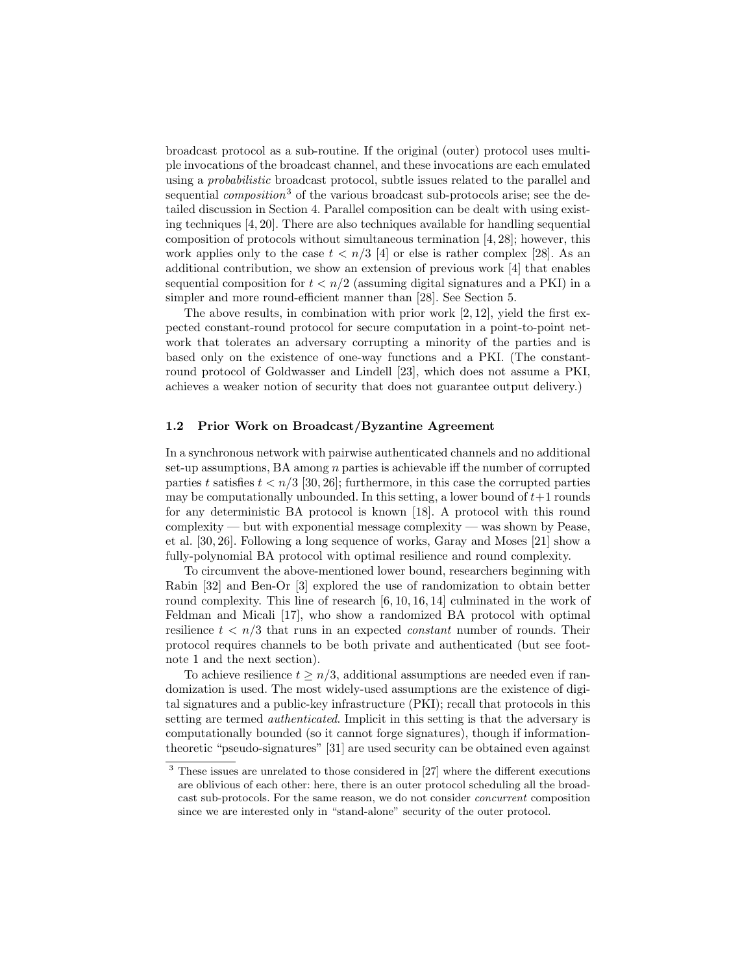broadcast protocol as a sub-routine. If the original (outer) protocol uses multiple invocations of the broadcast channel, and these invocations are each emulated using a probabilistic broadcast protocol, subtle issues related to the parallel and sequential *composition*<sup>3</sup> of the various broadcast sub-protocols arise; see the detailed discussion in Section 4. Parallel composition can be dealt with using existing techniques [4, 20]. There are also techniques available for handling sequential composition of protocols without simultaneous termination [4, 28]; however, this work applies only to the case  $t < n/3$  [4] or else is rather complex [28]. As an additional contribution, we show an extension of previous work [4] that enables sequential composition for  $t < n/2$  (assuming digital signatures and a PKI) in a simpler and more round-efficient manner than [28]. See Section 5.

The above results, in combination with prior work [2, 12], yield the first expected constant-round protocol for secure computation in a point-to-point network that tolerates an adversary corrupting a minority of the parties and is based only on the existence of one-way functions and a PKI. (The constantround protocol of Goldwasser and Lindell [23], which does not assume a PKI, achieves a weaker notion of security that does not guarantee output delivery.)

## 1.2 Prior Work on Broadcast/Byzantine Agreement

In a synchronous network with pairwise authenticated channels and no additional set-up assumptions,  $BA$  among  $n$  parties is achievable iff the number of corrupted parties t satisfies  $t < n/3$  [30, 26]; furthermore, in this case the corrupted parties may be computationally unbounded. In this setting, a lower bound of  $t+1$  rounds for any deterministic BA protocol is known [18]. A protocol with this round complexity — but with exponential message complexity — was shown by Pease, et al. [30, 26]. Following a long sequence of works, Garay and Moses [21] show a fully-polynomial BA protocol with optimal resilience and round complexity.

To circumvent the above-mentioned lower bound, researchers beginning with Rabin [32] and Ben-Or [3] explored the use of randomization to obtain better round complexity. This line of research [6, 10, 16, 14] culminated in the work of Feldman and Micali [17], who show a randomized BA protocol with optimal resilience  $t < n/3$  that runs in an expected *constant* number of rounds. Their protocol requires channels to be both private and authenticated (but see footnote 1 and the next section).

To achieve resilience  $t > n/3$ , additional assumptions are needed even if randomization is used. The most widely-used assumptions are the existence of digital signatures and a public-key infrastructure (PKI); recall that protocols in this setting are termed authenticated. Implicit in this setting is that the adversary is computationally bounded (so it cannot forge signatures), though if informationtheoretic "pseudo-signatures" [31] are used security can be obtained even against

<sup>&</sup>lt;sup>3</sup> These issues are unrelated to those considered in [27] where the different executions are oblivious of each other: here, there is an outer protocol scheduling all the broadcast sub-protocols. For the same reason, we do not consider concurrent composition since we are interested only in "stand-alone" security of the outer protocol.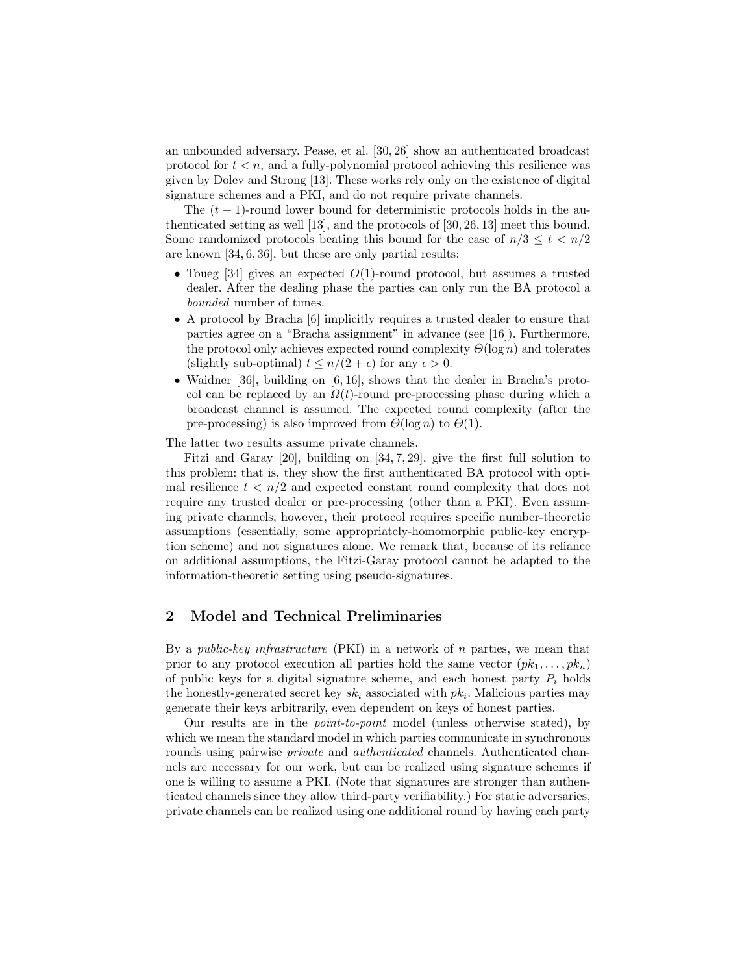an unbounded adversary. Pease, et al. [30, 26] show an authenticated broadcast protocol for  $t < n$ , and a fully-polynomial protocol achieving this resilience was given by Dolev and Strong [13]. These works rely only on the existence of digital signature schemes and a PKI, and do not require private channels.

The  $(t + 1)$ -round lower bound for deterministic protocols holds in the authenticated setting as well [13], and the protocols of [30, 26, 13] meet this bound. Some randomized protocols beating this bound for the case of  $n/3 \le t \le n/2$ are known [34, 6, 36], but these are only partial results:

- Toueg [34] gives an expected  $O(1)$ -round protocol, but assumes a trusted dealer. After the dealing phase the parties can only run the BA protocol a bounded number of times.
- A protocol by Bracha [6] implicitly requires a trusted dealer to ensure that parties agree on a "Bracha assignment" in advance (see [16]). Furthermore, the protocol only achieves expected round complexity  $\Theta(\log n)$  and tolerates (slightly sub-optimal)  $t \leq n/(2 + \epsilon)$  for any  $\epsilon > 0$ .
- Waidner [36], building on [6, 16], shows that the dealer in Bracha's protocol can be replaced by an  $\Omega(t)$ -round pre-processing phase during which a broadcast channel is assumed. The expected round complexity (after the pre-processing) is also improved from  $\Theta(\log n)$  to  $\Theta(1)$ .

The latter two results assume private channels.

Fitzi and Garay [20], building on [34, 7, 29], give the first full solution to this problem: that is, they show the first authenticated BA protocol with optimal resilience  $t < n/2$  and expected constant round complexity that does not require any trusted dealer or pre-processing (other than a PKI). Even assuming private channels, however, their protocol requires specific number-theoretic assumptions (essentially, some appropriately-homomorphic public-key encryption scheme) and not signatures alone. We remark that, because of its reliance on additional assumptions, the Fitzi-Garay protocol cannot be adapted to the information-theoretic setting using pseudo-signatures.

## 2 Model and Technical Preliminaries

By a *public-key infrastructure* (PKI) in a network of  $n$  parties, we mean that prior to any protocol execution all parties hold the same vector  $(pk_1, \ldots, pk_n)$ of public keys for a digital signature scheme, and each honest party  $P_i$  holds the honestly-generated secret key  $sk_i$  associated with  $pk_i$ . Malicious parties may generate their keys arbitrarily, even dependent on keys of honest parties.

Our results are in the point-to-point model (unless otherwise stated), by which we mean the standard model in which parties communicate in synchronous rounds using pairwise *private* and *authenticated* channels. Authenticated channels are necessary for our work, but can be realized using signature schemes if one is willing to assume a PKI. (Note that signatures are stronger than authenticated channels since they allow third-party verifiability.) For static adversaries, private channels can be realized using one additional round by having each party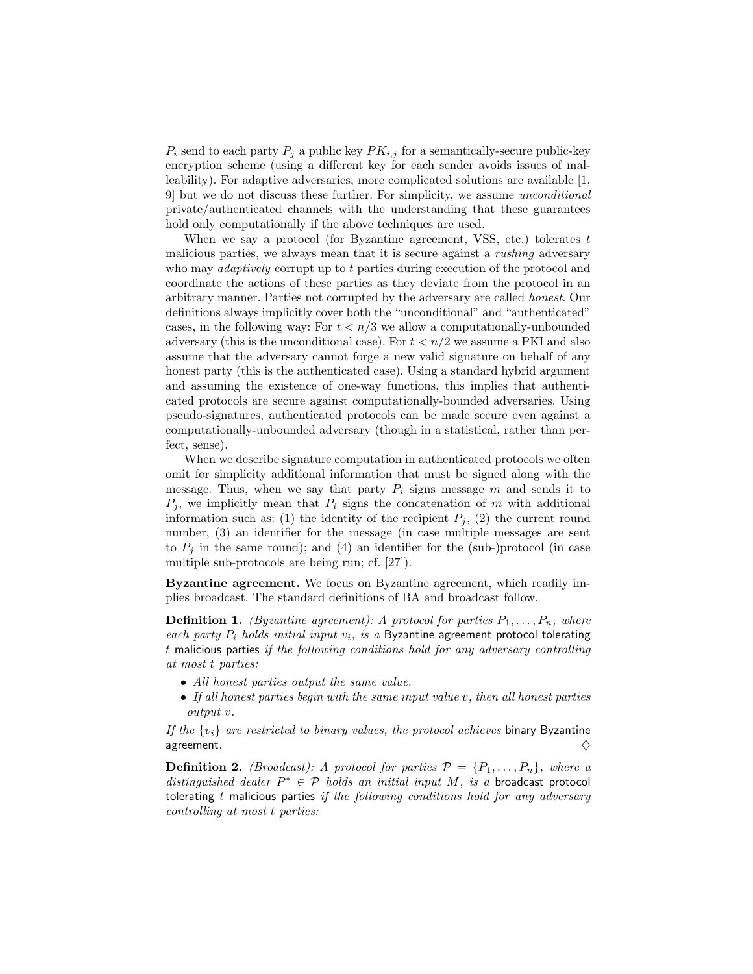$P_i$  send to each party  $P_j$  a public key  $PK_{i,j}$  for a semantically-secure public-key encryption scheme (using a different key for each sender avoids issues of malleability). For adaptive adversaries, more complicated solutions are available [1, 9] but we do not discuss these further. For simplicity, we assume unconditional private/authenticated channels with the understanding that these guarantees hold only computationally if the above techniques are used.

When we say a protocol (for Byzantine agreement, VSS, etc.) tolerates  $t$ malicious parties, we always mean that it is secure against a rushing adversary who may *adaptively* corrupt up to t parties during execution of the protocol and coordinate the actions of these parties as they deviate from the protocol in an arbitrary manner. Parties not corrupted by the adversary are called honest. Our definitions always implicitly cover both the "unconditional" and "authenticated" cases, in the following way: For  $t < n/3$  we allow a computationally-unbounded adversary (this is the unconditional case). For  $t < n/2$  we assume a PKI and also assume that the adversary cannot forge a new valid signature on behalf of any honest party (this is the authenticated case). Using a standard hybrid argument and assuming the existence of one-way functions, this implies that authenticated protocols are secure against computationally-bounded adversaries. Using pseudo-signatures, authenticated protocols can be made secure even against a computationally-unbounded adversary (though in a statistical, rather than perfect, sense).

When we describe signature computation in authenticated protocols we often omit for simplicity additional information that must be signed along with the message. Thus, when we say that party  $P_i$  signs message m and sends it to  $P_i$ , we implicitly mean that  $P_i$  signs the concatenation of m with additional information such as: (1) the identity of the recipient  $P_i$ , (2) the current round number, (3) an identifier for the message (in case multiple messages are sent to  $P_j$  in the same round); and (4) an identifier for the (sub-)protocol (in case multiple sub-protocols are being run; cf. [27]).

Byzantine agreement. We focus on Byzantine agreement, which readily implies broadcast. The standard definitions of BA and broadcast follow.

**Definition 1.** (Byzantine agreement): A protocol for parties  $P_1, \ldots, P_n$ , where each party  $P_i$  holds initial input  $v_i$ , is a Byzantine agreement protocol tolerating t malicious parties if the following conditions hold for any adversary controlling at most t parties:

- All honest parties output the same value.
- If all honest parties begin with the same input value v, then all honest parties output v.

If the  $\{v_i\}$  are restricted to binary values, the protocol achieves binary Byzantine agreement.  $\diamondsuit$ 

**Definition 2.** (Broadcast): A protocol for parties  $P = \{P_1, \ldots, P_n\}$ , where a distinguished dealer  $P^* \in \mathcal{P}$  holds an initial input M, is a broadcast protocol tolerating  $t$  malicious parties if the following conditions hold for any adversary controlling at most t parties: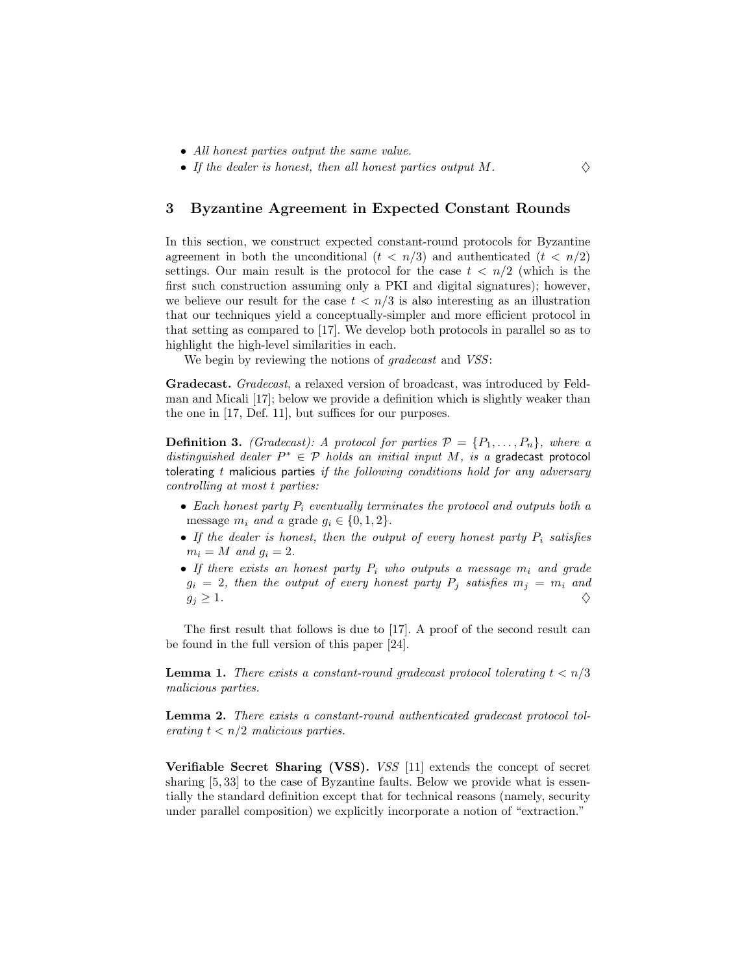- All honest parties output the same value.
- If the dealer is honest, then all honest parties output M.  $\diamondsuit$

## 3 Byzantine Agreement in Expected Constant Rounds

In this section, we construct expected constant-round protocols for Byzantine agreement in both the unconditional  $(t < n/3)$  and authenticated  $(t < n/2)$ settings. Our main result is the protocol for the case  $t < n/2$  (which is the first such construction assuming only a PKI and digital signatures); however, we believe our result for the case  $t < n/3$  is also interesting as an illustration that our techniques yield a conceptually-simpler and more efficient protocol in that setting as compared to [17]. We develop both protocols in parallel so as to highlight the high-level similarities in each.

We begin by reviewing the notions of *gradecast* and *VSS*:

Gradecast. Gradecast, a relaxed version of broadcast, was introduced by Feldman and Micali [17]; below we provide a definition which is slightly weaker than the one in [17, Def. 11], but suffices for our purposes.

**Definition 3.** (Gradecast): A protocol for parties  $P = \{P_1, \ldots, P_n\}$ , where a distinguished dealer  $P^* \in \mathcal{P}$  holds an initial input M, is a gradecast protocol tolerating  $t$  malicious parties if the following conditions hold for any adversary controlling at most t parties:

- Each honest party  $P_i$  eventually terminates the protocol and outputs both a message  $m_i$  and a grade  $g_i \in \{0, 1, 2\}.$
- If the dealer is honest, then the output of every honest party  $P_i$  satisfies  $m_i = M$  and  $g_i = 2$ .
- If there exists an honest party  $P_i$  who outputs a message  $m_i$  and grade  $g_i = 2$ , then the output of every honest party  $P_i$  satisfies  $m_i = m_i$  and  $g_j \geq 1.$

The first result that follows is due to [17]. A proof of the second result can be found in the full version of this paper [24].

**Lemma 1.** There exists a constant-round gradecast protocol tolerating  $t < n/3$ malicious parties.

Lemma 2. There exists a constant-round authenticated gradecast protocol tolerating  $t < n/2$  malicious parties.

Verifiable Secret Sharing (VSS). VSS [11] extends the concept of secret sharing [5, 33] to the case of Byzantine faults. Below we provide what is essentially the standard definition except that for technical reasons (namely, security under parallel composition) we explicitly incorporate a notion of "extraction."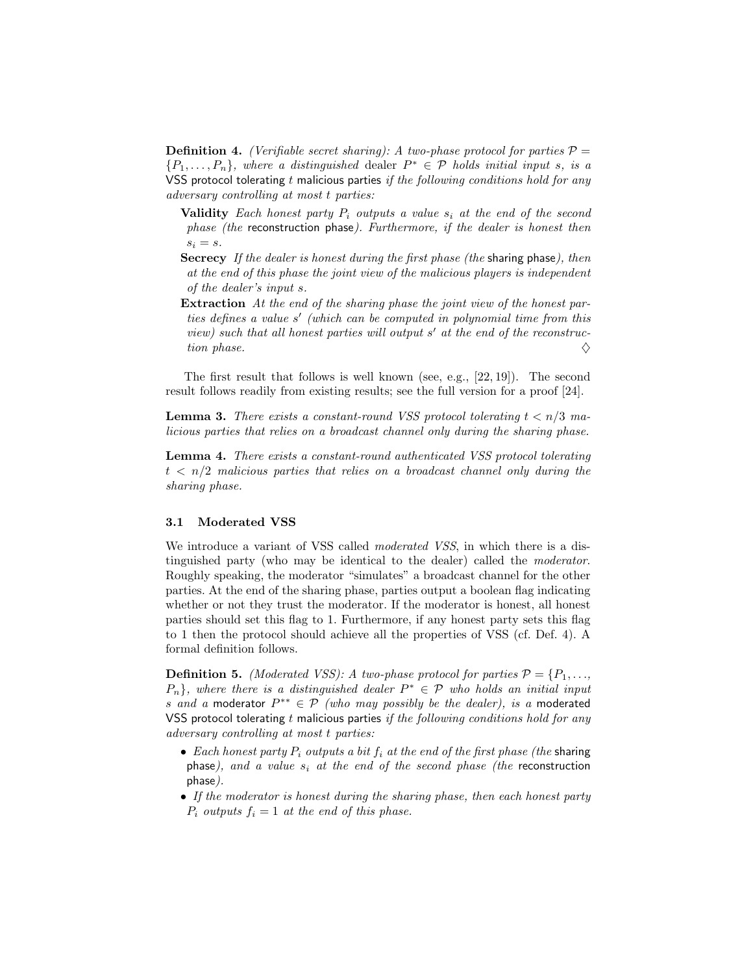**Definition 4.** (Verifiable secret sharing): A two-phase protocol for parties  $P =$  $\{P_1, \ldots, P_n\}$ , where a distinguished dealer  $P^* \in \mathcal{P}$  holds initial input s, is a VSS protocol tolerating  $t$  malicious parties if the following conditions hold for any adversary controlling at most t parties:

- Validity Each honest party  $P_i$  outputs a value  $s_i$  at the end of the second phase (the reconstruction phase). Furthermore, if the dealer is honest then  $s_i = s$ .
- Secrecy If the dealer is honest during the first phase (the sharing phase), then at the end of this phase the joint view of the malicious players is independent of the dealer's input s.
- Extraction At the end of the sharing phase the joint view of the honest parties defines a value s' (which can be computed in polynomial time from this view) such that all honest parties will output  $s'$  at the end of the reconstruction phase.  $\Diamond$

The first result that follows is well known (see, e.g., [22, 19]). The second result follows readily from existing results; see the full version for a proof [24].

**Lemma 3.** There exists a constant-round VSS protocol tolerating  $t < n/3$  malicious parties that relies on a broadcast channel only during the sharing phase.

Lemma 4. There exists a constant-round authenticated VSS protocol tolerating  $t < n/2$  malicious parties that relies on a broadcast channel only during the sharing phase.

#### 3.1 Moderated VSS

We introduce a variant of VSS called *moderated VSS*, in which there is a distinguished party (who may be identical to the dealer) called the moderator. Roughly speaking, the moderator "simulates" a broadcast channel for the other parties. At the end of the sharing phase, parties output a boolean flag indicating whether or not they trust the moderator. If the moderator is honest, all honest parties should set this flag to 1. Furthermore, if any honest party sets this flag to 1 then the protocol should achieve all the properties of VSS (cf. Def. 4). A formal definition follows.

**Definition 5.** (Moderated VSS): A two-phase protocol for parties  $P = \{P_1, \ldots, P_n\}$  $P_n$ , where there is a distinguished dealer  $P^* \in \mathcal{P}$  who holds an initial input s and a moderator  $P^{**} \in \mathcal{P}$  (who may possibly be the dealer), is a moderated VSS protocol tolerating t malicious parties if the following conditions hold for any adversary controlling at most t parties:

- Each honest party  $P_i$  outputs a bit  $f_i$  at the end of the first phase (the sharing phase), and a value  $s_i$  at the end of the second phase (the reconstruction phase).
- If the moderator is honest during the sharing phase, then each honest party  $P_i$  outputs  $f_i = 1$  at the end of this phase.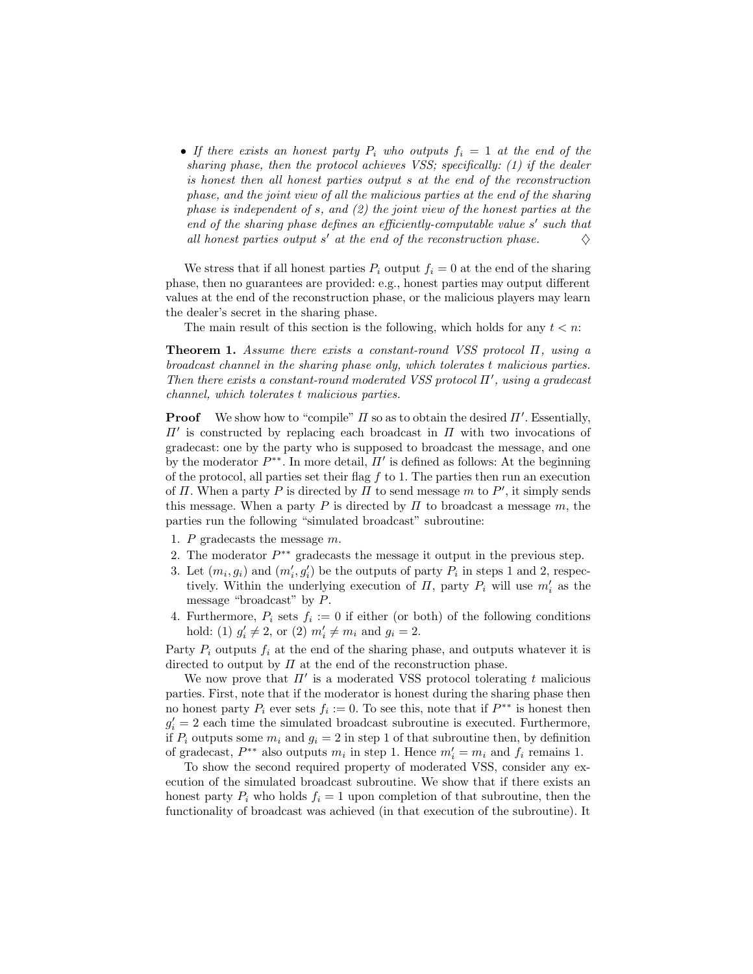• If there exists an honest party  $P_i$  who outputs  $f_i = 1$  at the end of the sharing phase, then the protocol achieves VSS; specifically: (1) if the dealer is honest then all honest parties output s at the end of the reconstruction phase, and the joint view of all the malicious parties at the end of the sharing phase is independent of s, and (2) the joint view of the honest parties at the end of the sharing phase defines an efficiently-computable value  $s'$  such that all honest parties output s' at the end of the reconstruction phase.  $\diamondsuit$ 

We stress that if all honest parties  $P_i$  output  $f_i = 0$  at the end of the sharing phase, then no guarantees are provided: e.g., honest parties may output different values at the end of the reconstruction phase, or the malicious players may learn the dealer's secret in the sharing phase.

The main result of this section is the following, which holds for any  $t < n$ :

**Theorem 1.** Assume there exists a constant-round VSS protocol  $\Pi$ , using a broadcast channel in the sharing phase only, which tolerates t malicious parties. Then there exists a constant-round moderated VSS protocol  $\Pi'$ , using a gradecast channel, which tolerates t malicious parties.

**Proof** We show how to "compile"  $\Pi$  so as to obtain the desired  $\Pi'$ . Essentially,  $\Pi'$  is constructed by replacing each broadcast in  $\Pi$  with two invocations of gradecast: one by the party who is supposed to broadcast the message, and one by the moderator  $P^{**}$ . In more detail,  $\Pi'$  is defined as follows: At the beginning of the protocol, all parties set their flag  $f$  to 1. The parties then run an execution of  $\Pi$ . When a party  $P$  is directed by  $\Pi$  to send message  $m$  to  $P'$ , it simply sends this message. When a party P is directed by  $\Pi$  to broadcast a message  $m$ , the parties run the following "simulated broadcast" subroutine:

- 1. P gradecasts the message m.
- 2. The moderator  $P^{**}$  gradecasts the message it output in the previous step.
- 3. Let  $(m_i, g_i)$  and  $(m'_i, g'_i)$  be the outputs of party  $P_i$  in steps 1 and 2, respectively. Within the underlying execution of  $\Pi$ , party  $P_i$  will use  $m'_i$  as the message "broadcast" by P.
- 4. Furthermore,  $P_i$  sets  $f_i := 0$  if either (or both) of the following conditions hold: (1)  $g'_i \neq 2$ , or (2)  $m'_i \neq m_i$  and  $g_i = 2$ .

Party  $P_i$  outputs  $f_i$  at the end of the sharing phase, and outputs whatever it is directed to output by  $\Pi$  at the end of the reconstruction phase.

We now prove that  $\Pi'$  is a moderated VSS protocol tolerating t malicious parties. First, note that if the moderator is honest during the sharing phase then no honest party  $P_i$  ever sets  $f_i := 0$ . To see this, note that if  $P^{**}$  is honest then  $g_i' = 2$  each time the simulated broadcast subroutine is executed. Furthermore, if  $P_i$  outputs some  $m_i$  and  $g_i = 2$  in step 1 of that subroutine then, by definition of gradecast,  $P^{**}$  also outputs  $m_i$  in step 1. Hence  $m'_i = m_i$  and  $f_i$  remains 1.

To show the second required property of moderated VSS, consider any execution of the simulated broadcast subroutine. We show that if there exists an honest party  $P_i$  who holds  $f_i = 1$  upon completion of that subroutine, then the functionality of broadcast was achieved (in that execution of the subroutine). It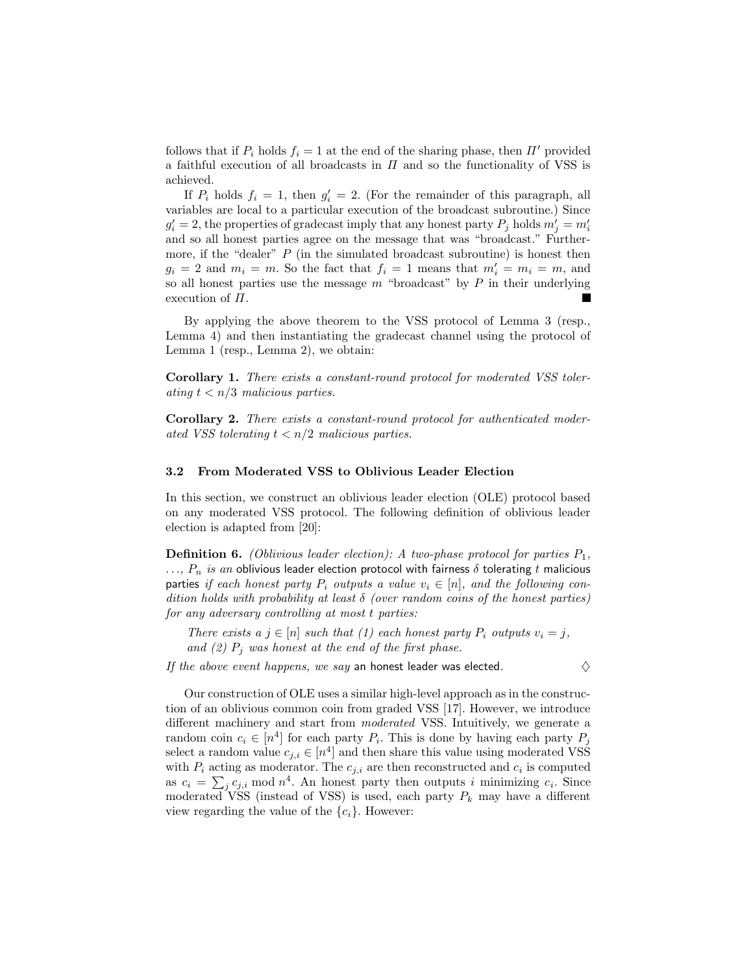follows that if  $P_i$  holds  $f_i = 1$  at the end of the sharing phase, then  $\Pi'$  provided a faithful execution of all broadcasts in  $\Pi$  and so the functionality of VSS is achieved.

If  $P_i$  holds  $f_i = 1$ , then  $g'_i = 2$ . (For the remainder of this paragraph, all variables are local to a particular execution of the broadcast subroutine.) Since  $g'_i = 2$ , the properties of gradecast imply that any honest party  $P_j$  holds  $m'_j = m'_i$ and so all honest parties agree on the message that was "broadcast." Furthermore, if the "dealer"  $P$  (in the simulated broadcast subroutine) is honest then  $g_i = 2$  and  $m_i = m$ . So the fact that  $f_i = 1$  means that  $m'_i = m_i = m$ , and so all honest parties use the message  $m$  "broadcast" by  $P$  in their underlying execution of  $\Pi$ .

By applying the above theorem to the VSS protocol of Lemma 3 (resp., Lemma 4) and then instantiating the gradecast channel using the protocol of Lemma 1 (resp., Lemma 2), we obtain:

Corollary 1. There exists a constant-round protocol for moderated VSS tolerating  $t < n/3$  malicious parties.

Corollary 2. There exists a constant-round protocol for authenticated moderated VSS tolerating  $t < n/2$  malicious parties.

#### 3.2 From Moderated VSS to Oblivious Leader Election

In this section, we construct an oblivious leader election (OLE) protocol based on any moderated VSS protocol. The following definition of oblivious leader election is adapted from [20]:

**Definition 6.** (Oblivious leader election): A two-phase protocol for parties  $P_1$ , ...,  $P_n$  is an oblivious leader election protocol with fairness  $\delta$  tolerating t malicious parties if each honest party  $P_i$  outputs a value  $v_i \in [n]$ , and the following condition holds with probability at least  $\delta$  (over random coins of the honest parties) for any adversary controlling at most t parties:

There exists a  $j \in [n]$  such that (1) each honest party  $P_i$  outputs  $v_i = j$ , and (2)  $P_i$  was honest at the end of the first phase.

If the above event happens, we say an honest leader was elected.

$$
\Diamond
$$

Our construction of OLE uses a similar high-level approach as in the construction of an oblivious common coin from graded VSS [17]. However, we introduce different machinery and start from *moderated* VSS. Intuitively, we generate a random coin  $c_i \in [n^4]$  for each party  $P_i$ . This is done by having each party  $P_j$ select a random value  $c_{j,i} \in [n^4]$  and then share this value using moderated VSS with  $P_i$  acting as moderator. The  $c_{j,i}$  are then reconstructed and  $c_i$  is computed as  $c_i = \sum_j c_{j,i} \mod n^4$ . An honest party then outputs i minimizing  $c_i$ . Since moderated VSS (instead of VSS) is used, each party  $P_k$  may have a different view regarding the value of the  ${c_i}$ . However: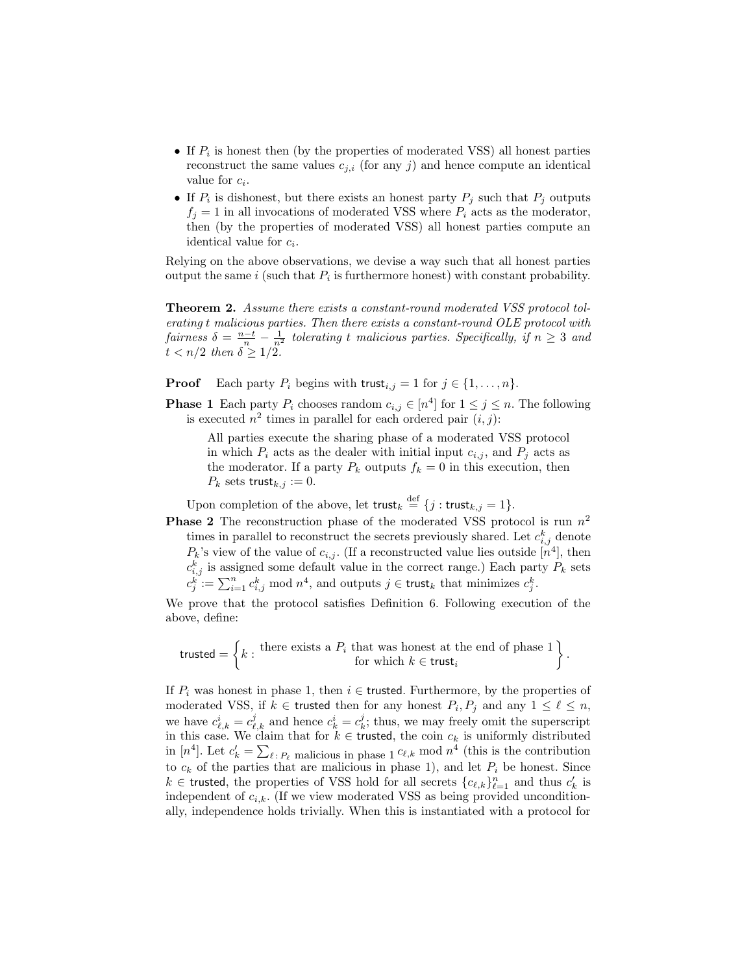- If  $P_i$  is honest then (by the properties of moderated VSS) all honest parties reconstruct the same values  $c_{j,i}$  (for any j) and hence compute an identical value for  $c_i$ .
- If  $P_i$  is dishonest, but there exists an honest party  $P_j$  such that  $P_j$  outputs  $f_j = 1$  in all invocations of moderated VSS where  $P_i$  acts as the moderator, then (by the properties of moderated VSS) all honest parties compute an identical value for  $c_i$ .

Relying on the above observations, we devise a way such that all honest parties output the same  $i$  (such that  $P_i$  is furthermore honest) with constant probability.

Theorem 2. Assume there exists a constant-round moderated VSS protocol tolerating t malicious parties. Then there exists a constant-round OLE protocol with fairness  $\delta = \frac{n-t}{n} - \frac{1}{n^2}$  tolerating t malicious parties. Specifically, if  $n \geq 3$  and  $t < n/2$  then  $\delta \geq 1/2$ .

**Proof** Each party  $P_i$  begins with trust<sub>i,j</sub> = 1 for  $j \in \{1, ..., n\}$ .

**Phase 1** Each party  $P_i$  chooses random  $c_{i,j} \in [n^4]$  for  $1 \leq j \leq n$ . The following is executed  $n^2$  times in parallel for each ordered pair  $(i, j)$ :

All parties execute the sharing phase of a moderated VSS protocol in which  $P_i$  acts as the dealer with initial input  $c_{i,j}$ , and  $P_j$  acts as the moderator. If a party  $P_k$  outputs  $f_k = 0$  in this execution, then  $P_k$  sets trust $_{k,j} := 0$ .

Upon completion of the above, let trust $k_{k} \stackrel{\text{def}}{=} \{j : \text{trust}_{k,j} = 1\}.$ 

**Phase 2** The reconstruction phase of the moderated VSS protocol is run  $n^2$ times in parallel to reconstruct the secrets previously shared. Let  $c_{i,j}^k$  denote  $P_k$ 's view of the value of  $c_{i,j}$ . (If a reconstructed value lies outside  $\tilde{n}^4$ , then  $c_{i,j}^k$  is assigned some default value in the correct range.) Each party  $P_k$  sets  $c_j^k := \sum_{i=1}^n c_{i,j}^k \mod n^4$ , and outputs  $j \in \text{trust}_k$  that minimizes  $c_j^k$ .

We prove that the protocol satisfies Definition 6. Following execution of the above, define:

$$
\text{trusted} = \left\{ k : \begin{matrix} \text{there exists a } P_i \text{ that was honest at the end of phase 1} \\ \text{for which } k \in \text{trust}_i \end{matrix} \right\}.
$$

If  $P_i$  was honest in phase 1, then  $i \in$  trusted. Furthermore, by the properties of moderated VSS, if  $k \in \mathsf{trusted}$  then for any honest  $P_i, P_j$  and any  $1 \leq \ell \leq n$ , we have  $c_{\ell,k}^i = c_{\ell,k}^j$  and hence  $c_k^i = c_k^j$ ; thus, we may freely omit the superscript in this case. We claim that for  $k \in \text{trusted}$ , the coin  $c_k$  is uniformly distributed in [n<sup>4</sup>]. Let  $c'_k = \sum_{\ell \,:\, P_\ell}$  malicious in phase 1  $c_{\ell,k}$  mod  $n^4$  (this is the contribution to  $c_k$  of the parties that are malicious in phase 1), and let  $P_i$  be honest. Since  $k \in \text{trusted}$ , the properties of VSS hold for all secrets  $\{c_{\ell,k}\}_{\ell=1}^n$  and thus  $c'_k$  is independent of  $c_{i,k}$ . (If we view moderated VSS as being provided unconditionally, independence holds trivially. When this is instantiated with a protocol for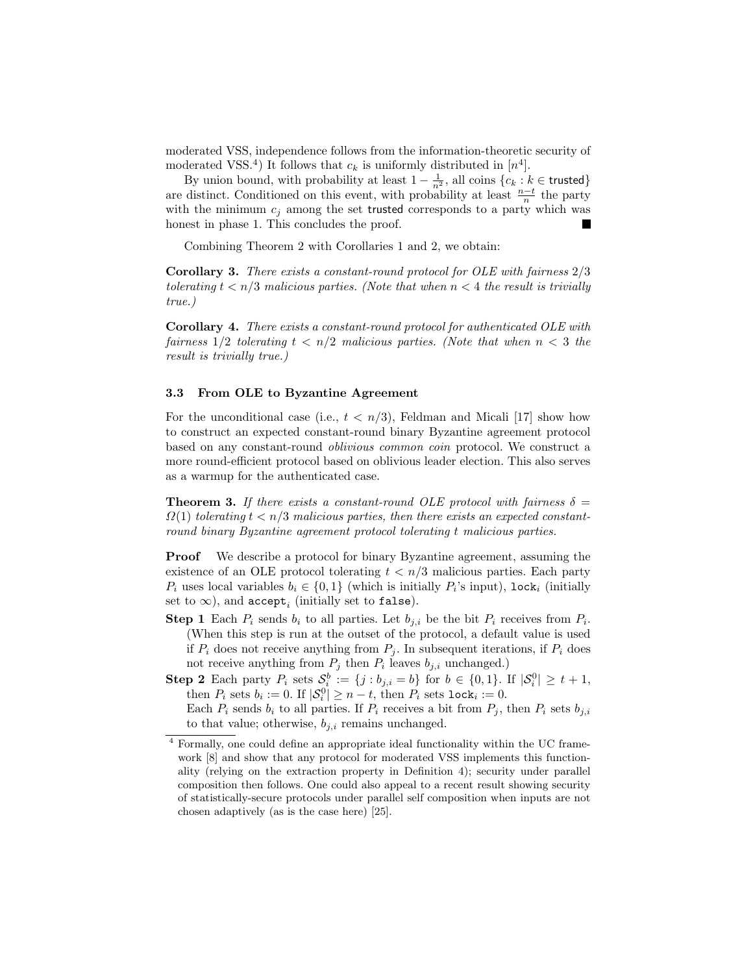moderated VSS, independence follows from the information-theoretic security of moderated VSS.<sup>4</sup>) It follows that  $c_k$  is uniformly distributed in  $[n^4]$ .

By union bound, with probability at least  $1 - \frac{1}{n^2}$ , all coins  $\{c_k : k \in \text{trusted}\}$ are distinct. Conditioned on this event, with probability at least  $\frac{n-t}{n}$  the party with the minimum  $c_i$  among the set trusted corresponds to a party which was honest in phase 1. This concludes the proof.

Combining Theorem 2 with Corollaries 1 and 2, we obtain:

Corollary 3. There exists a constant-round protocol for OLE with fairness 2/3 tolerating  $t < n/3$  malicious parties. (Note that when  $n < 4$  the result is trivially true.)

Corollary 4. There exists a constant-round protocol for authenticated OLE with fairness  $1/2$  tolerating  $t < n/2$  malicious parties. (Note that when  $n < 3$  the result is trivially true.)

## 3.3 From OLE to Byzantine Agreement

For the unconditional case (i.e.,  $t < n/3$ ), Feldman and Micali [17] show how to construct an expected constant-round binary Byzantine agreement protocol based on any constant-round oblivious common coin protocol. We construct a more round-efficient protocol based on oblivious leader election. This also serves as a warmup for the authenticated case.

**Theorem 3.** If there exists a constant-round OLE protocol with fairness  $\delta =$  $\Omega(1)$  tolerating  $t < n/3$  malicious parties, then there exists an expected constantround binary Byzantine agreement protocol tolerating t malicious parties.

**Proof** We describe a protocol for binary Byzantine agreement, assuming the existence of an OLE protocol tolerating  $t < n/3$  malicious parties. Each party  $P_i$  uses local variables  $b_i \in \{0,1\}$  (which is initially  $P_i$ 's input),  $\texttt{lock}_i$  (initially set to  $\infty$ ), and  $\texttt{accept}_i$  (initially set to false).

- **Step 1** Each  $P_i$  sends  $b_i$  to all parties. Let  $b_{j,i}$  be the bit  $P_i$  receives from  $P_i$ . (When this step is run at the outset of the protocol, a default value is used if  $P_i$  does not receive anything from  $P_j$ . In subsequent iterations, if  $P_i$  does not receive anything from  $P_j$  then  $P_i$  leaves  $b_{j,i}$  unchanged.)
- **Step 2** Each party  $P_i$  sets  $\mathcal{S}_i^b := \{j : b_{j,i} = b\}$  for  $b \in \{0,1\}$ . If  $|\mathcal{S}_i^0| \geq t+1$ , then  $P_i$  sets  $b_i := 0$ . If  $|\mathcal{S}_i^0| \ge n - t$ , then  $P_i$  sets  $\texttt{lock}_i := 0$ . Each  $P_i$  sends  $b_i$  to all parties. If  $P_i$  receives a bit from  $P_j$ , then  $P_i$  sets  $b_{j,i}$

to that value; otherwise,  $b_{j,i}$  remains unchanged.

<sup>4</sup> Formally, one could define an appropriate ideal functionality within the UC framework [8] and show that any protocol for moderated VSS implements this functionality (relying on the extraction property in Definition 4); security under parallel composition then follows. One could also appeal to a recent result showing security of statistically-secure protocols under parallel self composition when inputs are not chosen adaptively (as is the case here) [25].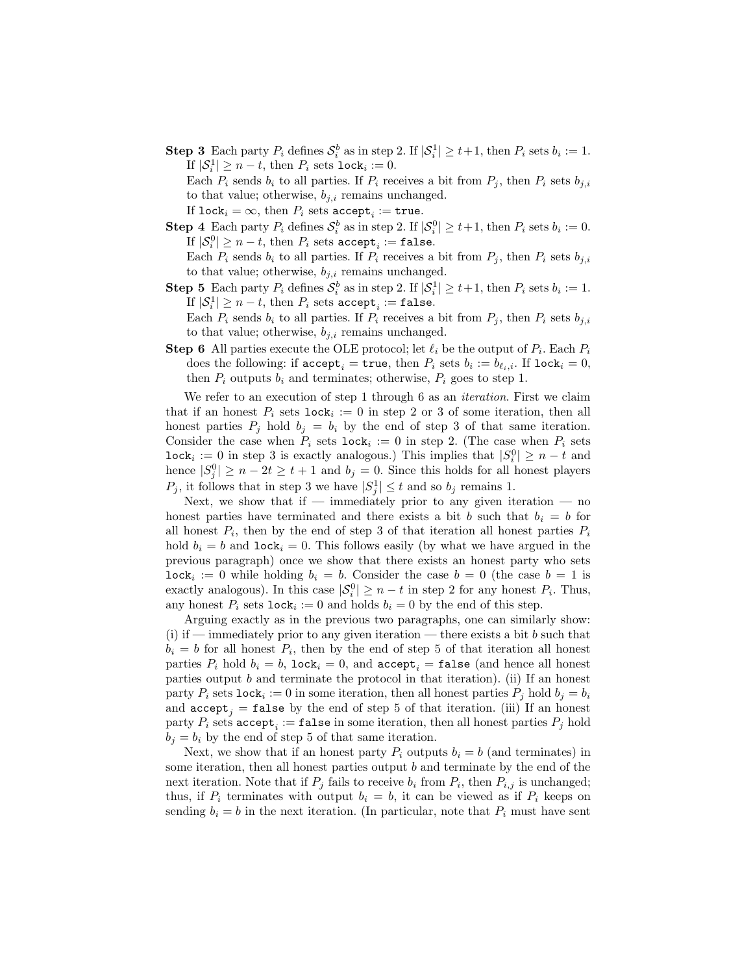**Step 3** Each party  $P_i$  defines  $S_i^b$  as in step 2. If  $|S_i^1| \ge t+1$ , then  $P_i$  sets  $b_i := 1$ . If  $|\mathcal{S}_i^1| \ge n - t$ , then  $P_i$  sets lock<sub>i</sub> := 0.

Each  $P_i$  sends  $b_i$  to all parties. If  $P_i$  receives a bit from  $P_j$ , then  $P_i$  sets  $b_{j,i}$ to that value; otherwise,  $b_{j,i}$  remains unchanged.

If  $\mathtt{lock}_i = \infty$ , then  $P_i$  sets  $\mathtt{accept}_i := \mathtt{true}.$ 

**Step 4** Each party  $P_i$  defines  $S_i^b$  as in step 2. If  $|S_i^0| \ge t+1$ , then  $P_i$  sets  $b_i := 0$ . If  $|\mathcal{S}_i^0| \ge n - t$ , then  $P_i$  sets accept<sub>i</sub> := false.

Each  $P_i$  sends  $b_i$  to all parties. If  $P_i$  receives a bit from  $P_j$ , then  $P_i$  sets  $b_{j,i}$ to that value; otherwise,  $b_{j,i}$  remains unchanged.

- **Step 5** Each party  $P_i$  defines  $S_i^b$  as in step 2. If  $|S_i^1| \ge t+1$ , then  $P_i$  sets  $b_i := 1$ . If  $|\mathcal{S}_i^1| \ge n - t$ , then  $P_i$  sets  $\texttt{accept}_i := \texttt{false}.$ Each  $P_i$  sends  $b_i$  to all parties. If  $P_i$  receives a bit from  $P_j$ , then  $P_i$  sets  $b_{j,i}$ 
	- to that value; otherwise,  $b_{i,i}$  remains unchanged.
- **Step 6** All parties execute the OLE protocol; let  $\ell_i$  be the output of  $P_i$ . Each  $P_i$ does the following: if  $\texttt{accept}_i = \texttt{true}$ , then  $P_i$  sets  $b_i := b_{\ell_i,i}$ . If  $\texttt{lock}_i = 0$ , then  $P_i$  outputs  $b_i$  and terminates; otherwise,  $P_i$  goes to step 1.

We refer to an execution of step 1 through 6 as an *iteration*. First we claim that if an honest  $P_i$  sets lock<sub>i</sub> := 0 in step 2 or 3 of some iteration, then all honest parties  $P_i$  hold  $b_i = b_i$  by the end of step 3 of that same iteration. Consider the case when  $P_i$  sets lock<sub>i</sub> := 0 in step 2. (The case when  $P_i$  sets lock<sub>i</sub> := 0 in step 3 is exactly analogous.) This implies that  $|S_i^0| \ge n - t$  and hence  $|S_j^0| \ge n - 2t \ge t + 1$  and  $b_j = 0$ . Since this holds for all honest players  $P_j$ , it follows that in step 3 we have  $|S_j^1| \leq t$  and so  $b_j$  remains 1.

Next, we show that if  $-$  immediately prior to any given iteration  $-$  no honest parties have terminated and there exists a bit b such that  $b_i = b$  for all honest  $P_i$ , then by the end of step 3 of that iteration all honest parties  $P_i$ hold  $b_i = b$  and  $\texttt{lock}_i = 0$ . This follows easily (by what we have argued in the previous paragraph) once we show that there exists an honest party who sets  $\texttt{lock}_i := 0$  while holding  $b_i = b$ . Consider the case  $b = 0$  (the case  $b = 1$  is exactly analogous). In this case  $|\mathcal{S}_i^0| \ge n - t$  in step 2 for any honest  $P_i$ . Thus, any honest  $P_i$  sets lock<sub>i</sub> := 0 and holds  $b_i = 0$  by the end of this step.

Arguing exactly as in the previous two paragraphs, one can similarly show: (i) if — immediately prior to any given iteration — there exists a bit  $b$  such that  $b_i = b$  for all honest  $P_i$ , then by the end of step 5 of that iteration all honest parties  $P_i$  hold  $b_i = b$ , lock<sub>i</sub> = 0, and accept<sub>i</sub> = false (and hence all honest parties output  $b$  and terminate the protocol in that iteration). (ii) If an honest party  $P_i$  sets  $\texttt{lock}_i := 0$  in some iteration, then all honest parties  $P_j$  hold  $b_j = b_i$ and  $\text{accept}_i = \text{false}$  by the end of step 5 of that iteration. (iii) If an honest  $\mathrm{party}~P_i$  sets  $\mathsf{accept}_i := \mathtt{false}$  in some iteration, then all honest parties  $P_j$  hold  $b_i = b_i$  by the end of step 5 of that same iteration.

Next, we show that if an honest party  $P_i$  outputs  $b_i = b$  (and terminates) in some iteration, then all honest parties output  $b$  and terminate by the end of the next iteration. Note that if  $P_j$  fails to receive  $b_i$  from  $P_i$ , then  $P_{i,j}$  is unchanged; thus, if  $P_i$  terminates with output  $b_i = b$ , it can be viewed as if  $P_i$  keeps on sending  $b_i = b$  in the next iteration. (In particular, note that  $P_i$  must have sent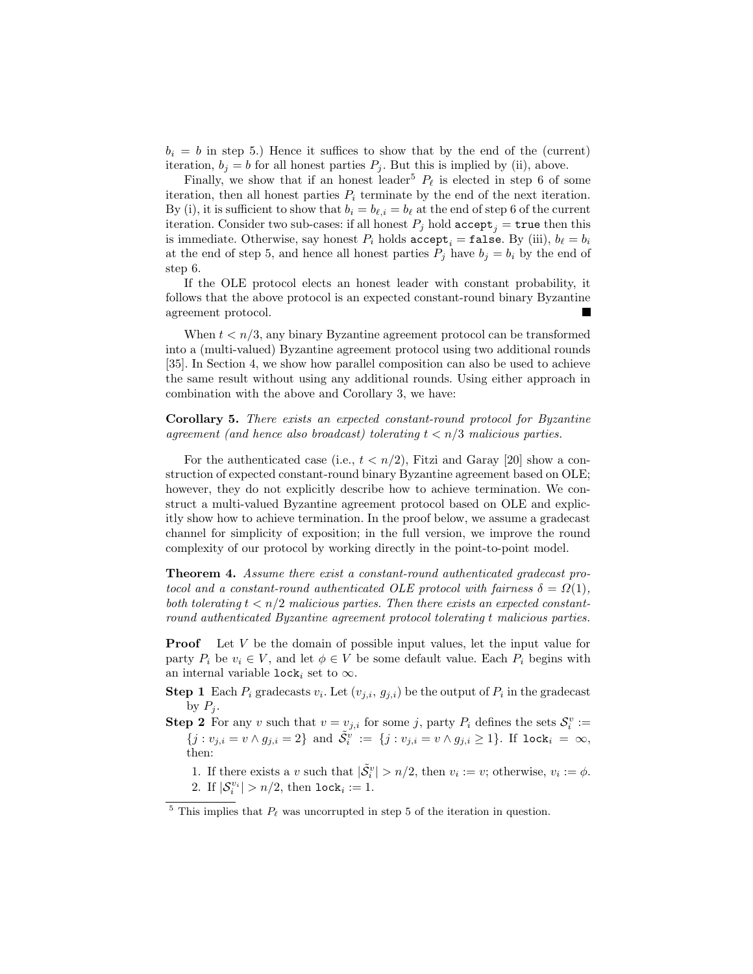$b_i = b$  in step 5.) Hence it suffices to show that by the end of the (current) iteration,  $b_j = b$  for all honest parties  $P_j$ . But this is implied by (ii), above.

Finally, we show that if an honest leader<sup>5</sup>  $P_\ell$  is elected in step 6 of some iteration, then all honest parties  $P_i$  terminate by the end of the next iteration. By (i), it is sufficient to show that  $b_i = b_{\ell,i} = b_\ell$  at the end of step 6 of the current iteration. Consider two sub-cases: if all honest  $P_i$  hold accept<sub>i</sub> = true then this is immediate. Otherwise, say honest  $P_i$  holds  $\mathsf{accept}_i = \mathsf{false}$ . By (iii),  $b_\ell = b_i$ at the end of step 5, and hence all honest parties  $P_j$  have  $b_j = b_i$  by the end of step 6.

If the OLE protocol elects an honest leader with constant probability, it follows that the above protocol is an expected constant-round binary Byzantine agreement protocol.

When  $t < n/3$ , any binary Byzantine agreement protocol can be transformed into a (multi-valued) Byzantine agreement protocol using two additional rounds [35]. In Section 4, we show how parallel composition can also be used to achieve the same result without using any additional rounds. Using either approach in combination with the above and Corollary 3, we have:

Corollary 5. There exists an expected constant-round protocol for Byzantine agreement (and hence also broadcast) tolerating  $t < n/3$  malicious parties.

For the authenticated case (i.e.,  $t < n/2$ ), Fitzi and Garay [20] show a construction of expected constant-round binary Byzantine agreement based on OLE; however, they do not explicitly describe how to achieve termination. We construct a multi-valued Byzantine agreement protocol based on OLE and explicitly show how to achieve termination. In the proof below, we assume a gradecast channel for simplicity of exposition; in the full version, we improve the round complexity of our protocol by working directly in the point-to-point model.

Theorem 4. Assume there exist a constant-round authenticated gradecast protocol and a constant-round authenticated OLE protocol with fairness  $\delta = \Omega(1)$ , both tolerating  $t < n/2$  malicious parties. Then there exists an expected constantround authenticated Byzantine agreement protocol tolerating t malicious parties.

**Proof** Let V be the domain of possible input values, let the input value for party  $P_i$  be  $v_i \in V$ , and let  $\phi \in V$  be some default value. Each  $P_i$  begins with an internal variable lock<sub>i</sub> set to  $\infty$ .

**Step 1** Each  $P_i$  gradecasts  $v_i$ . Let  $(v_{j,i}, g_{j,i})$  be the output of  $P_i$  in the gradecast by  $P_i$ .

**Step 2** For any v such that  $v = v_{j,i}$  for some j, party  $P_i$  defines the sets  $S_i^v :=$  $\{j : v_{j,i} = v \wedge g_{j,i} = 2\}$  and  $\tilde{S}_i^v := \{j : v_{j,i} = v \wedge g_{j,i} \ge 1\}$ . If lock<sub>i</sub> =  $\infty$ , then:

1. If there exists a v such that  $|\tilde{S}_i^v| > n/2$ , then  $v_i := v$ ; otherwise,  $v_i := \phi$ . 2. If  $|\mathcal{S}_i^{v_i}| > n/2$ , then  $\texttt{lock}_i := 1$ .

<sup>5</sup> This implies that  $P_\ell$  was uncorrupted in step 5 of the iteration in question.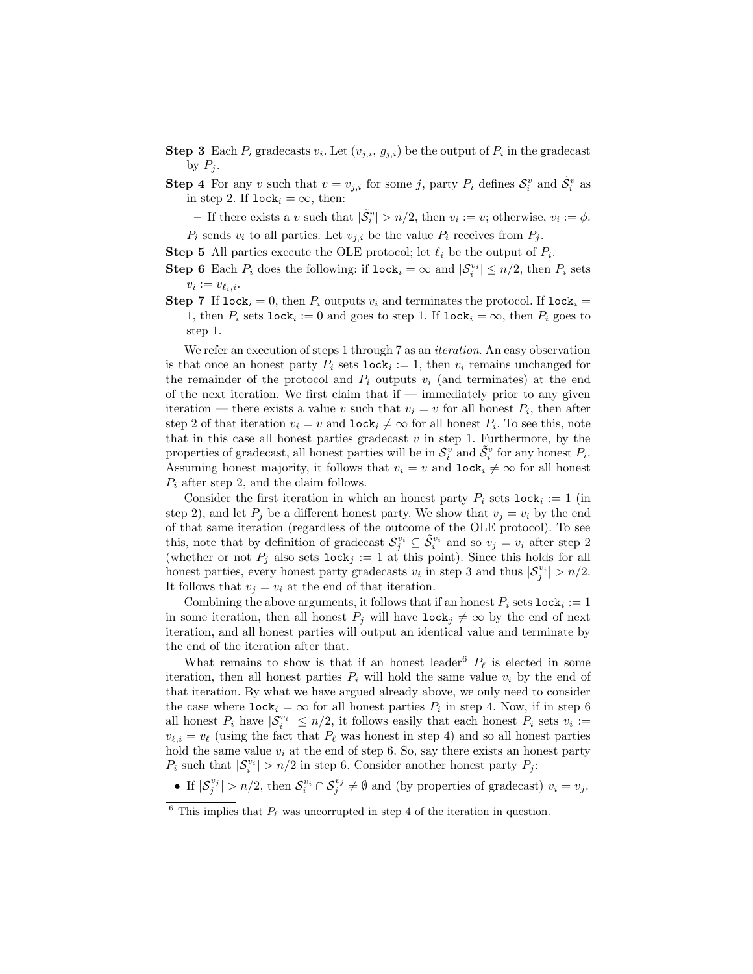- **Step 3** Each  $P_i$  gradecasts  $v_i$ . Let  $(v_{j,i}, g_{j,i})$  be the output of  $P_i$  in the gradecast by  $P_i$ .
- **Step 4** For any v such that  $v = v_{j,i}$  for some j, party  $P_i$  defines  $S_i^v$  and  $\tilde{S}_i^v$  as in step 2. If  $\texttt{lock}_i = \infty$ , then:

- If there exists a v such that  $|\tilde{S}_i^v| > n/2$ , then  $v_i := v$ ; otherwise,  $v_i := \phi$ .

 $P_i$  sends  $v_i$  to all parties. Let  $v_{j,i}$  be the value  $P_i$  receives from  $P_j$ .

- **Step 5** All parties execute the OLE protocol; let  $\ell_i$  be the output of  $P_i$ .
- **Step 6** Each  $P_i$  does the following: if  $\text{lock}_i = \infty$  and  $|\mathcal{S}_i^{v_i}| \leq n/2$ , then  $P_i$  sets  $v_i := v_{\ell_i,i}.$
- **Step 7** If lock<sub>i</sub> = 0, then  $P_i$  outputs  $v_i$  and terminates the protocol. If lock<sub>i</sub> = 1, then  $P_i$  sets lock<sub>i</sub> := 0 and goes to step 1. If lock<sub>i</sub> =  $\infty$ , then  $P_i$  goes to step 1.

We refer an execution of steps 1 through 7 as an *iteration*. An easy observation is that once an honest party  $P_i$  sets  $\texttt{lock}_i := 1$ , then  $v_i$  remains unchanged for the remainder of the protocol and  $P_i$  outputs  $v_i$  (and terminates) at the end of the next iteration. We first claim that if  $-$  immediately prior to any given iteration — there exists a value v such that  $v_i = v$  for all honest  $P_i$ , then after step 2 of that iteration  $v_i = v$  and  $\texttt{lock}_i \neq \infty$  for all honest  $P_i$ . To see this, note that in this case all honest parties gradecast  $v$  in step 1. Furthermore, by the properties of gradecast, all honest parties will be in  $\mathcal{S}_i^v$  and  $\tilde{\mathcal{S}}_i^v$  for any honest  $P_i$ . Assuming honest majority, it follows that  $v_i = v$  and  $\texttt{lock}_i \neq \infty$  for all honest  $P_i$  after step 2, and the claim follows.

Consider the first iteration in which an honest party  $P_i$  sets  $\texttt{lock}_i := 1$  (in step 2), and let  $P_j$  be a different honest party. We show that  $v_j = v_i$  by the end of that same iteration (regardless of the outcome of the OLE protocol). To see this, note that by definition of gradecast  $\mathcal{S}_j^{v_i} \subseteq \tilde{\mathcal{S}}_i^{v_i}$  and so  $v_j = v_i$  after step 2 (whether or not  $P_i$  also sets lock<sub>i</sub> := 1 at this point). Since this holds for all honest parties, every honest party gradecasts  $v_i$  in step 3 and thus  $|S_j^{v_i}| > n/2$ . It follows that  $v_j = v_i$  at the end of that iteration.

Combining the above arguments, it follows that if an honest  $P_i$  sets  $\texttt{lock}_i := 1$ in some iteration, then all honest  $P_i$  will have  $\text{lock}_i \neq \infty$  by the end of next iteration, and all honest parties will output an identical value and terminate by the end of the iteration after that.

What remains to show is that if an honest leader  $P_\ell$  is elected in some iteration, then all honest parties  $P_i$  will hold the same value  $v_i$  by the end of that iteration. By what we have argued already above, we only need to consider the case where  $\texttt{lock}_i = \infty$  for all honest parties  $P_i$  in step 4. Now, if in step 6 all honest  $P_i$  have  $|\mathcal{S}_i^{v_i}| \leq n/2$ , it follows easily that each honest  $P_i$  sets  $v_i :=$  $v_{\ell,i} = v_{\ell}$  (using the fact that  $P_{\ell}$  was honest in step 4) and so all honest parties hold the same value  $v_i$  at the end of step 6. So, say there exists an honest party  $P_i$  such that  $|S_i^{v_i}| > n/2$  in step 6. Consider another honest party  $P_j$ :

• If  $|\mathcal{S}_j^{v_j}| > n/2$ , then  $\mathcal{S}_i^{v_i} \cap \mathcal{S}_j^{v_j} \neq \emptyset$  and (by properties of gradecast)  $v_i = v_j$ .

<sup>&</sup>lt;sup>6</sup> This implies that  $P_\ell$  was uncorrupted in step 4 of the iteration in question.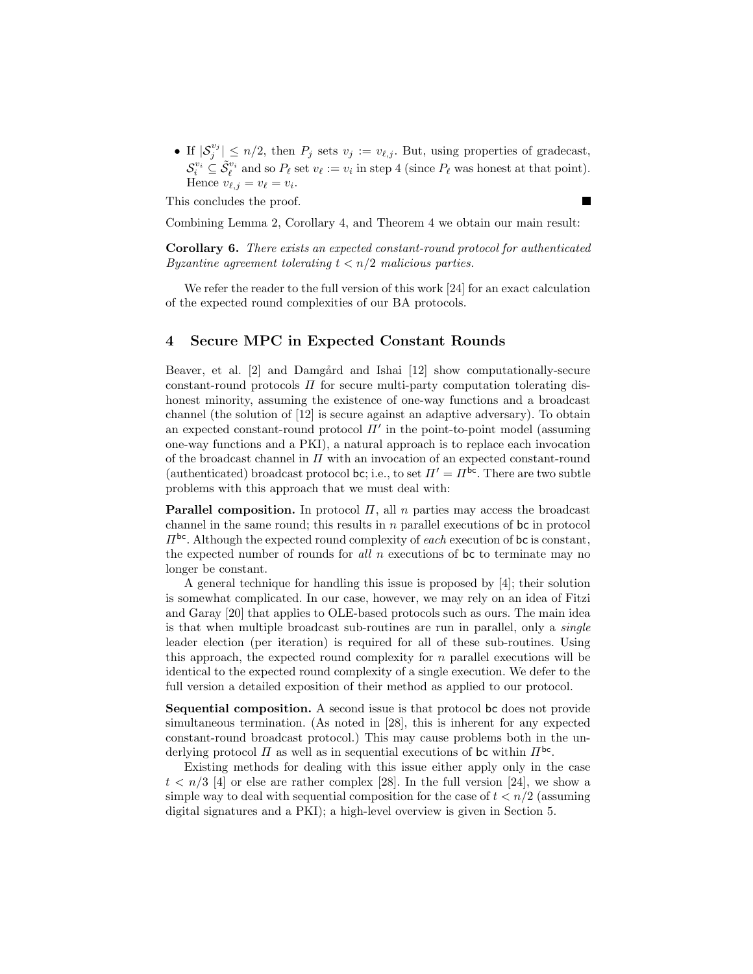• If  $|\mathcal{S}_j^{v_j}| \leq n/2$ , then  $P_j$  sets  $v_j := v_{\ell,j}$ . But, using properties of gradecast,  $\mathcal{S}_i^{v_i} \subseteq \tilde{\mathcal{S}}_\ell^{v_i}$  and so  $P_\ell$  set  $v_\ell := v_i$  in step 4 (since  $P_\ell$  was honest at that point). Hence  $v_{\ell,j} = v_{\ell} = v_i$ .

This concludes the proof.

Combining Lemma 2, Corollary 4, and Theorem 4 we obtain our main result:

Corollary 6. There exists an expected constant-round protocol for authenticated Byzantine agreement tolerating  $t < n/2$  malicious parties.

We refer the reader to the full version of this work [24] for an exact calculation of the expected round complexities of our BA protocols.

# 4 Secure MPC in Expected Constant Rounds

Beaver, et al. [2] and Damgård and Ishai [12] show computationally-secure constant-round protocols  $\Pi$  for secure multi-party computation tolerating dishonest minority, assuming the existence of one-way functions and a broadcast channel (the solution of [12] is secure against an adaptive adversary). To obtain an expected constant-round protocol  $\Pi'$  in the point-to-point model (assuming one-way functions and a PKI), a natural approach is to replace each invocation of the broadcast channel in  $\Pi$  with an invocation of an expected constant-round (authenticated) broadcast protocol bc; i.e., to set  $\Pi' = \Pi^{\overrightarrow{bc}}$ . There are two subtle problems with this approach that we must deal with:

**Parallel composition.** In protocol  $\Pi$ , all n parties may access the broadcast channel in the same round; this results in  $n$  parallel executions of  $bc$  in protocol  $\Pi^{\text{bc}}$ . Although the expected round complexity of each execution of bc is constant, the expected number of rounds for  $all$  n executions of  $bc$  to terminate may no longer be constant.

A general technique for handling this issue is proposed by [4]; their solution is somewhat complicated. In our case, however, we may rely on an idea of Fitzi and Garay [20] that applies to OLE-based protocols such as ours. The main idea is that when multiple broadcast sub-routines are run in parallel, only a single leader election (per iteration) is required for all of these sub-routines. Using this approach, the expected round complexity for  $n$  parallel executions will be identical to the expected round complexity of a single execution. We defer to the full version a detailed exposition of their method as applied to our protocol.

Sequential composition. A second issue is that protocol bc does not provide simultaneous termination. (As noted in [28], this is inherent for any expected constant-round broadcast protocol.) This may cause problems both in the underlying protocol  $\Pi$  as well as in sequential executions of bc within  $\Pi^{\text{bc}}$ .

Existing methods for dealing with this issue either apply only in the case  $t < n/3$  [4] or else are rather complex [28]. In the full version [24], we show a simple way to deal with sequential composition for the case of  $t < n/2$  (assuming digital signatures and a PKI); a high-level overview is given in Section 5.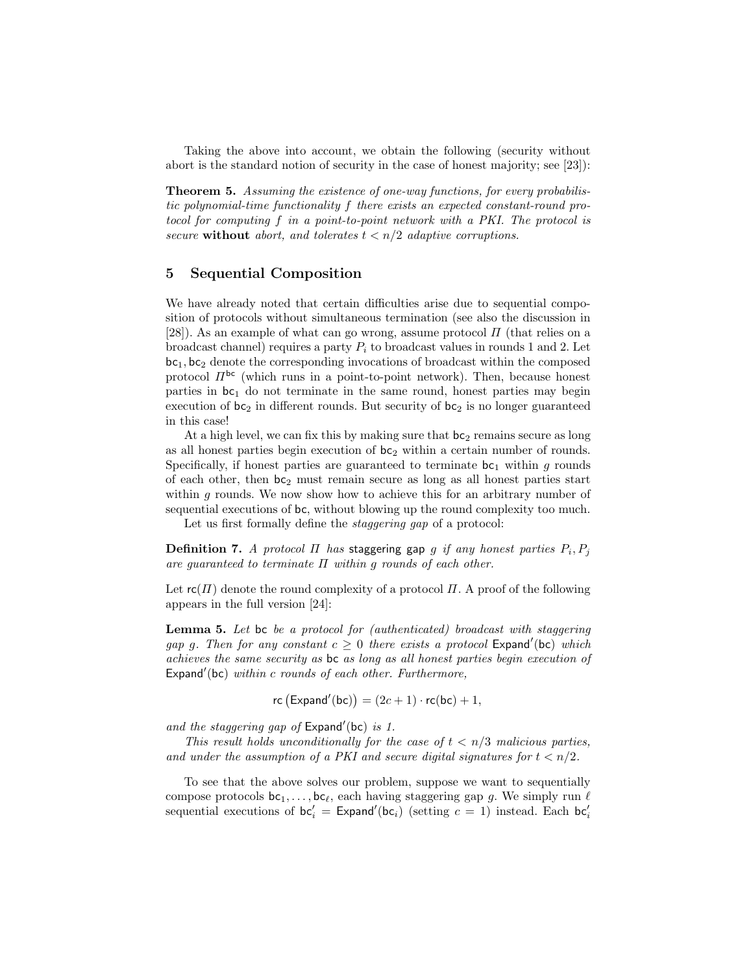Taking the above into account, we obtain the following (security without abort is the standard notion of security in the case of honest majority; see [23]):

Theorem 5. Assuming the existence of one-way functions, for every probabilistic polynomial-time functionality f there exists an expected constant-round protocol for computing f in a point-to-point network with a PKI. The protocol is secure without abort, and tolerates  $t < n/2$  adaptive corruptions.

# 5 Sequential Composition

We have already noted that certain difficulties arise due to sequential composition of protocols without simultaneous termination (see also the discussion in [28]). As an example of what can go wrong, assume protocol  $\Pi$  (that relies on a broadcast channel) requires a party  $P_i$  to broadcast values in rounds 1 and 2. Let  $bc<sub>1</sub>$ ,  $bc<sub>2</sub>$  denote the corresponding invocations of broadcast within the composed protocol  $\Pi^{\text{bc}}$  (which runs in a point-to-point network). Then, because honest parties in  $bc_1$  do not terminate in the same round, honest parties may begin execution of  $bc_2$  in different rounds. But security of  $bc_2$  is no longer guaranteed in this case!

At a high level, we can fix this by making sure that  $bc_2$  remains secure as long as all honest parties begin execution of  $bc<sub>2</sub>$  within a certain number of rounds. Specifically, if honest parties are guaranteed to terminate  $bc_1$  within g rounds of each other, then  $bc_2$  must remain secure as long as all honest parties start within  $g$  rounds. We now show how to achieve this for an arbitrary number of sequential executions of bc, without blowing up the round complexity too much.

Let us first formally define the *staggering gap* of a protocol:

**Definition 7.** A protocol  $\Pi$  has staggering gap  $g$  if any honest parties  $P_i, P_j$ are guaranteed to terminate  $\Pi$  within g rounds of each other.

Let  $\mathsf{rc}(\Pi)$  denote the round complexity of a protocol  $\Pi$ . A proof of the following appears in the full version [24]:

Lemma 5. Let be be a protocol for (authenticated) broadcast with staggering gap g. Then for any constant  $c \geq 0$  there exists a protocol Expand'(bc) which achieves the same security as bc as long as all honest parties begin execution of  $Expand'(bc)$  within c rounds of each other. Furthermore,

 $rc (Expand'(bc)) = (2c + 1) \cdot rc(bc) + 1,$ 

and the staggering gap of  $Expand'(bc)$  is 1.

This result holds unconditionally for the case of  $t < n/3$  malicious parties, and under the assumption of a PKI and secure digital signatures for  $t < n/2$ .

To see that the above solves our problem, suppose we want to sequentially compose protocols  $bc_1, \ldots, bc_\ell$ , each having staggering gap g. We simply run  $\ell$ sequential executions of  $bc'_i =$  Expand'( $bc_i$ ) (setting  $c = 1$ ) instead. Each  $bc'_i$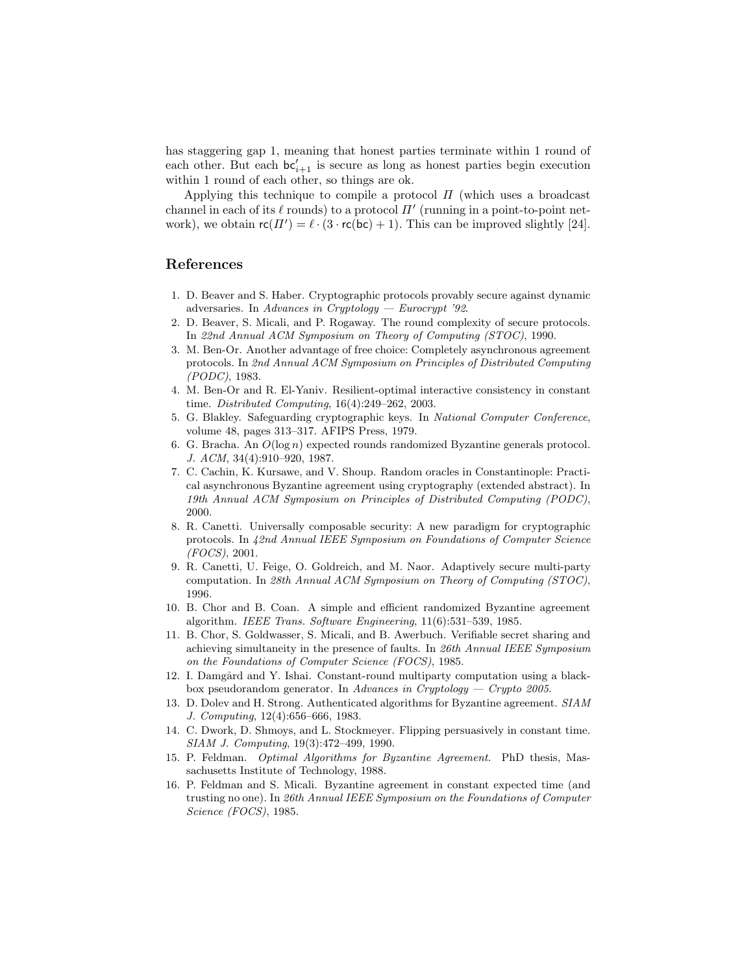has staggering gap 1, meaning that honest parties terminate within 1 round of each other. But each  $bc'_{i+1}$  is secure as long as honest parties begin execution within 1 round of each other, so things are ok.

Applying this technique to compile a protocol  $\Pi$  (which uses a broadcast channel in each of its  $\ell$  rounds) to a protocol  $\Pi'$  (running in a point-to-point network), we obtain  $rc(\Pi') = \ell \cdot (3 \cdot rc(bc) + 1)$ . This can be improved slightly [24].

# References

- 1. D. Beaver and S. Haber. Cryptographic protocols provably secure against dynamic adversaries. In Advances in Cryptology — Eurocrypt '92.
- 2. D. Beaver, S. Micali, and P. Rogaway. The round complexity of secure protocols. In 22nd Annual ACM Symposium on Theory of Computing (STOC), 1990.
- 3. M. Ben-Or. Another advantage of free choice: Completely asynchronous agreement protocols. In 2nd Annual ACM Symposium on Principles of Distributed Computing (PODC), 1983.
- 4. M. Ben-Or and R. El-Yaniv. Resilient-optimal interactive consistency in constant time. Distributed Computing, 16(4):249–262, 2003.
- 5. G. Blakley. Safeguarding cryptographic keys. In National Computer Conference, volume 48, pages 313–317. AFIPS Press, 1979.
- 6. G. Bracha. An  $O(\log n)$  expected rounds randomized Byzantine generals protocol. J. ACM, 34(4):910–920, 1987.
- 7. C. Cachin, K. Kursawe, and V. Shoup. Random oracles in Constantinople: Practical asynchronous Byzantine agreement using cryptography (extended abstract). In 19th Annual ACM Symposium on Principles of Distributed Computing (PODC), 2000.
- 8. R. Canetti. Universally composable security: A new paradigm for cryptographic protocols. In 42nd Annual IEEE Symposium on Foundations of Computer Science (FOCS), 2001.
- 9. R. Canetti, U. Feige, O. Goldreich, and M. Naor. Adaptively secure multi-party computation. In 28th Annual ACM Symposium on Theory of Computing (STOC), 1996.
- 10. B. Chor and B. Coan. A simple and efficient randomized Byzantine agreement algorithm. IEEE Trans. Software Engineering, 11(6):531–539, 1985.
- 11. B. Chor, S. Goldwasser, S. Micali, and B. Awerbuch. Verifiable secret sharing and achieving simultaneity in the presence of faults. In 26th Annual IEEE Symposium on the Foundations of Computer Science (FOCS), 1985.
- 12. I. Damgård and Y. Ishai. Constant-round multiparty computation using a blackbox pseudorandom generator. In Advances in Cryptology — Crypto 2005.
- 13. D. Dolev and H. Strong. Authenticated algorithms for Byzantine agreement. SIAM J. Computing, 12(4):656–666, 1983.
- 14. C. Dwork, D. Shmoys, and L. Stockmeyer. Flipping persuasively in constant time. SIAM J. Computing, 19(3):472–499, 1990.
- 15. P. Feldman. Optimal Algorithms for Byzantine Agreement. PhD thesis, Massachusetts Institute of Technology, 1988.
- 16. P. Feldman and S. Micali. Byzantine agreement in constant expected time (and trusting no one). In 26th Annual IEEE Symposium on the Foundations of Computer Science (FOCS), 1985.